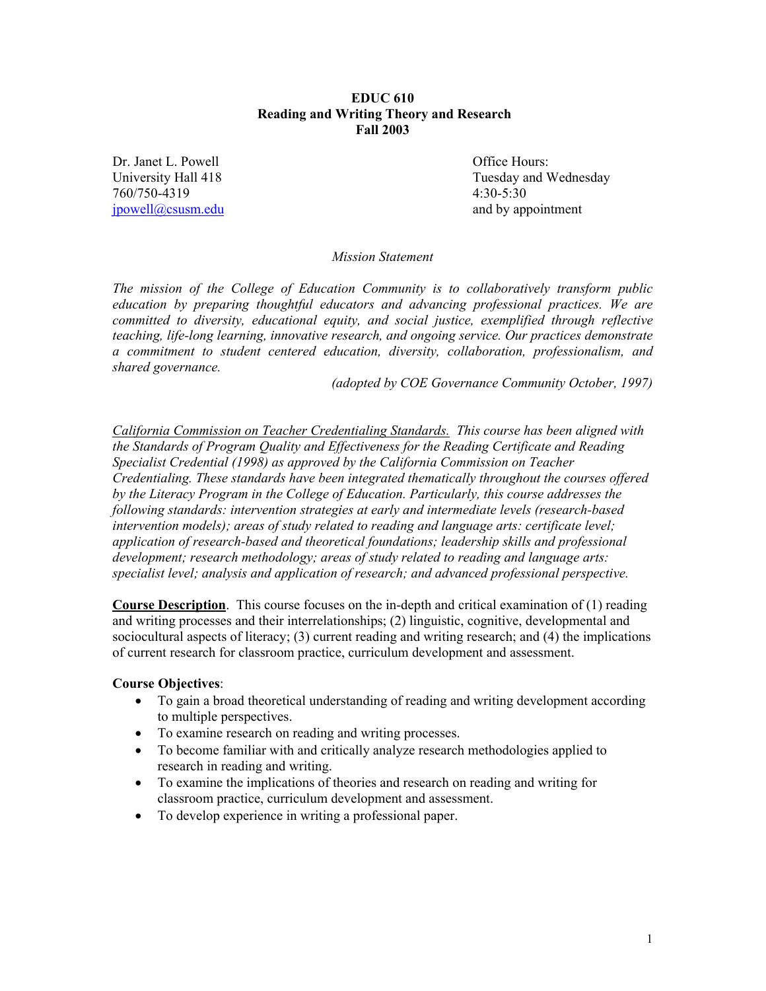### **EDUC 610 Reading and Writing Theory and Research Fall 2003**

Dr. Janet L. Powell **Dr. According to the United States** Office Hours: 760/750-4319 4:30-5:30 jpowell@csusm.edu and by appointment

University Hall 418 Tuesday and Wednesday

# *Mission Statement*

*The mission of the College of Education Community is to collaboratively transform public education by preparing thoughtful educators and advancing professional practices. We are committed to diversity, educational equity, and social justice, exemplified through reflective teaching, life-long learning, innovative research, and ongoing service. Our practices demonstrate a commitment to student centered education, diversity, collaboration, professionalism, and shared governance.* 

*(adopted by COE Governance Community October, 1997)* 

*California Commission on Teacher Credentialing Standards. This course has been aligned with the Standards of Program Quality and Effectiveness for the Reading Certificate and Reading Specialist Credential (1998) as approved by the California Commission on Teacher Credentialing. These standards have been integrated thematically throughout the courses offered by the Literacy Program in the College of Education. Particularly, this course addresses the following standards: intervention strategies at early and intermediate levels (research-based intervention models); areas of study related to reading and language arts: certificate level; application of research-based and theoretical foundations; leadership skills and professional development; research methodology; areas of study related to reading and language arts: specialist level; analysis and application of research; and advanced professional perspective.* 

**Course Description**. This course focuses on the in-depth and critical examination of (1) reading and writing processes and their interrelationships; (2) linguistic, cognitive, developmental and sociocultural aspects of literacy; (3) current reading and writing research; and (4) the implications of current research for classroom practice, curriculum development and assessment.

### **Course Objectives**:

- To gain a broad theoretical understanding of reading and writing development according to multiple perspectives.
- To examine research on reading and writing processes.
- To become familiar with and critically analyze research methodologies applied to research in reading and writing.
- To examine the implications of theories and research on reading and writing for classroom practice, curriculum development and assessment.
- To develop experience in writing a professional paper.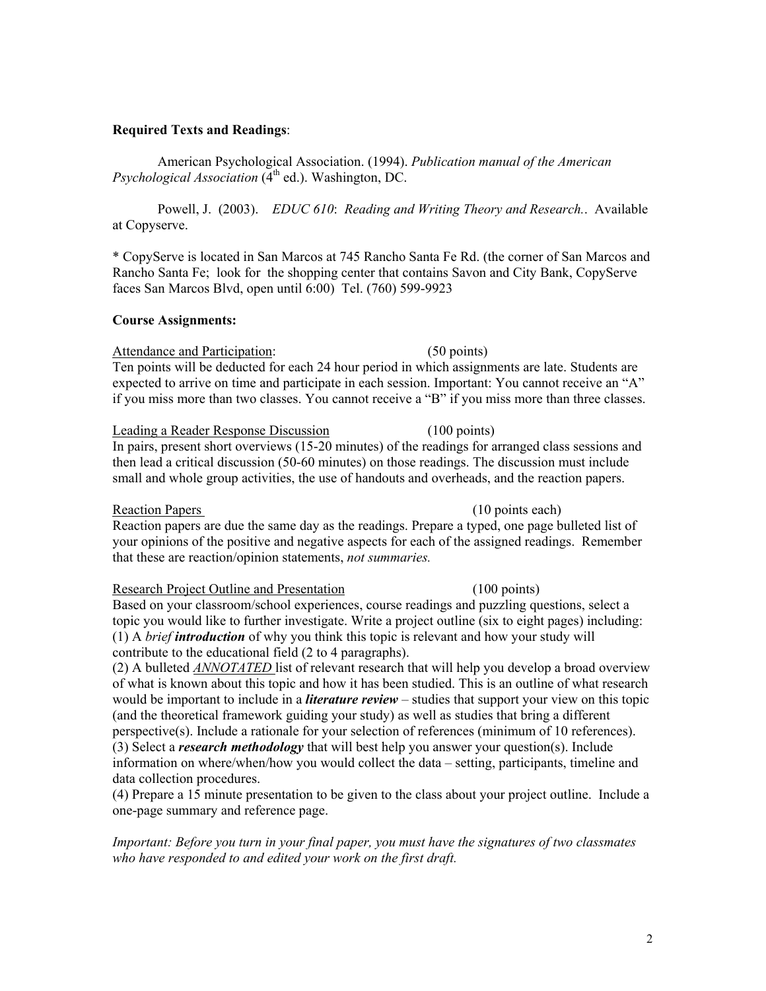# **Required Texts and Readings**:

American Psychological Association. (1994). *Publication manual of the American Psychological Association* (4<sup>th</sup> ed.). Washington, DC.

Powell, J. (2003). *EDUC 610*: *Reading and Writing Theory and Research.*. Available at Copyserve.

\* CopyServe is located in San Marcos at 745 Rancho Santa Fe Rd. (the corner of San Marcos and Rancho Santa Fe; look for the shopping center that contains Savon and City Bank, CopyServe faces San Marcos Blvd, open until 6:00) Tel. (760) 599-9923

# **Course Assignments:**

Attendance and Participation: (50 points) Ten points will be deducted for each 24 hour period in which assignments are late. Students are expected to arrive on time and participate in each session. Important: You cannot receive an "A" if you miss more than two classes. You cannot receive a "B" if you miss more than three classes.

Leading a Reader Response Discussion (100 points) In pairs, present short overviews (15-20 minutes) of the readings for arranged class sessions and then lead a critical discussion (50-60 minutes) on those readings. The discussion must include small and whole group activities, the use of handouts and overheads, and the reaction papers.

### Reaction Papers (10 points each)

Reaction papers are due the same day as the readings. Prepare a typed, one page bulleted list of your opinions of the positive and negative aspects for each of the assigned readings. Remember that these are reaction/opinion statements, *not summaries.*

### Research Project Outline and Presentation (100 points)

Based on your classroom/school experiences, course readings and puzzling questions, select a topic you would like to further investigate. Write a project outline (six to eight pages) including: (1) A *brief introduction* of why you think this topic is relevant and how your study will contribute to the educational field (2 to 4 paragraphs).

(2) A bulleted *ANNOTATED* list of relevant research that will help you develop a broad overview of what is known about this topic and how it has been studied. This is an outline of what research would be important to include in a *literature review* – studies that support your view on this topic (and the theoretical framework guiding your study) as well as studies that bring a different perspective(s). Include a rationale for your selection of references (minimum of 10 references). (3) Select a *research methodology* that will best help you answer your question(s). Include information on where/when/how you would collect the data – setting, participants, timeline and data collection procedures.

(4) Prepare a 15 minute presentation to be given to the class about your project outline. Include a one-page summary and reference page.

*Important: Before you turn in your final paper, you must have the signatures of two classmates who have responded to and edited your work on the first draft.*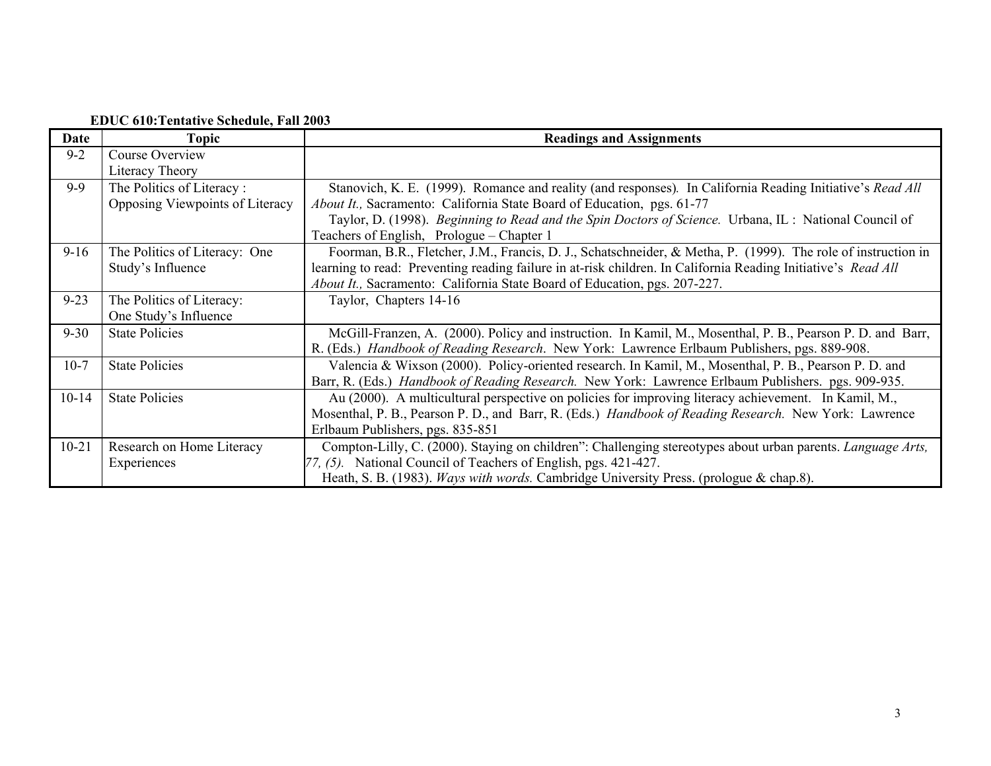# **EDUC 610:Tentative Schedule, Fall 2003**

| Date      | Topic                           | <b>Readings and Assignments</b>                                                                               |
|-----------|---------------------------------|---------------------------------------------------------------------------------------------------------------|
| $9 - 2$   | Course Overview                 |                                                                                                               |
|           | Literacy Theory                 |                                                                                                               |
| $9 - 9$   | The Politics of Literacy:       | Stanovich, K. E. (1999). Romance and reality (and responses). In California Reading Initiative's Read All     |
|           | Opposing Viewpoints of Literacy | About It., Sacramento: California State Board of Education, pgs. 61-77                                        |
|           |                                 | Taylor, D. (1998). Beginning to Read and the Spin Doctors of Science. Urbana, IL: National Council of         |
|           |                                 | Teachers of English, Prologue – Chapter 1                                                                     |
| $9 - 16$  | The Politics of Literacy: One   | Foorman, B.R., Fletcher, J.M., Francis, D. J., Schatschneider, & Metha, P. (1999). The role of instruction in |
|           | Study's Influence               | learning to read: Preventing reading failure in at-risk children. In California Reading Initiative's Read All |
|           |                                 | About It., Sacramento: California State Board of Education, pgs. 207-227.                                     |
| $9 - 23$  | The Politics of Literacy:       | Taylor, Chapters 14-16                                                                                        |
|           | One Study's Influence           |                                                                                                               |
| $9 - 30$  | <b>State Policies</b>           | McGill-Franzen, A. (2000). Policy and instruction. In Kamil, M., Mosenthal, P. B., Pearson P. D. and Barr,    |
|           |                                 | R. (Eds.) Handbook of Reading Research. New York: Lawrence Erlbaum Publishers, pgs. 889-908.                  |
| $10-7$    | <b>State Policies</b>           | Valencia & Wixson (2000). Policy-oriented research. In Kamil, M., Mosenthal, P. B., Pearson P. D. and         |
|           |                                 | Barr, R. (Eds.) <i>Handbook of Reading Research</i> . New York: Lawrence Erlbaum Publishers. pgs. 909-935.    |
| $10 - 14$ | <b>State Policies</b>           | Au (2000). A multicultural perspective on policies for improving literacy achievement. In Kamil, M.,          |
|           |                                 | Mosenthal, P. B., Pearson P. D., and Barr, R. (Eds.) Handbook of Reading Research. New York: Lawrence         |
|           |                                 | Erlbaum Publishers, pgs. 835-851                                                                              |
| $10 - 21$ | Research on Home Literacy       | Compton-Lilly, C. (2000). Staying on children": Challenging stereotypes about urban parents. Language Arts,   |
|           | Experiences                     | [77, (5). National Council of Teachers of English, pgs. 421-427.                                              |
|           |                                 | Heath, S. B. (1983). Ways with words. Cambridge University Press. (prologue & chap.8).                        |